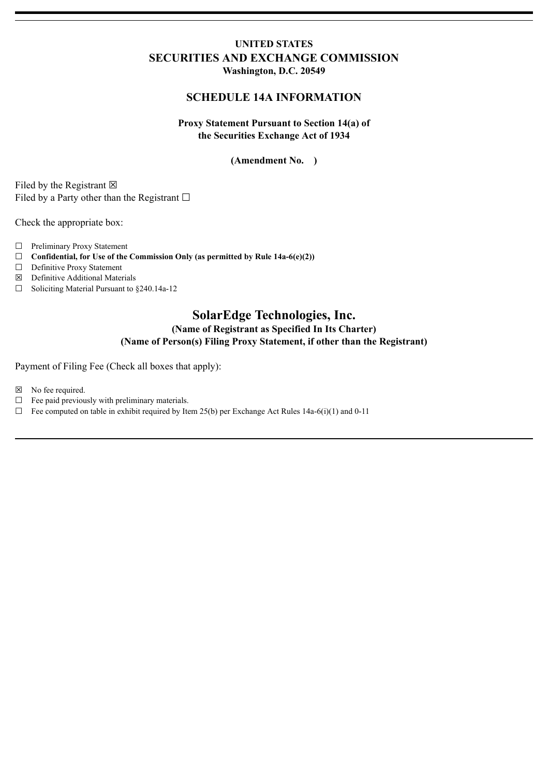## **UNITED STATES SECURITIES AND EXCHANGE COMMISSION Washington, D.C. 20549**

## **SCHEDULE 14A INFORMATION**

### **Proxy Statement Pursuant to Section 14(a) of the Securities Exchange Act of 1934**

#### **(Amendment No. )**

Filed by the Registrant  $\boxtimes$ Filed by a Party other than the Registrant  $□$ 

Check the appropriate box:

- ☐ Preliminary Proxy Statement
- ☐ **Confidential, for Use of the Commission Only (as permitted by Rule 14a-6(e)(2))**
- □ Definitive Proxy Statement
- ☒ Definitive Additional Materials
- ☐ Soliciting Material Pursuant to §240.14a-12

# **SolarEdge Technologies, Inc. (Name of Registrant as Specified In Its Charter) (Name of Person(s) Filing Proxy Statement, if other than the Registrant)**

Payment of Filing Fee (Check all boxes that apply):

☒ No fee required.

- $\Box$  Fee paid previously with preliminary materials.
- $\Box$  Fee computed on table in exhibit required by Item 25(b) per Exchange Act Rules 14a-6(i)(1) and 0-11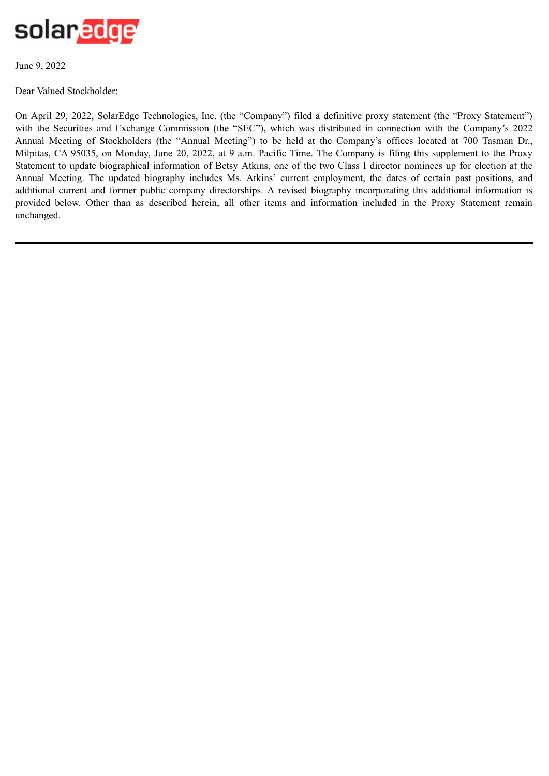

June 9, 2022

Dear Valued Stockholder:

On April 29, 2022, SolarEdge Technologies, Inc. (the "Company") filed a definitive proxy statement (the "Proxy Statement") with the Securities and Exchange Commission (the "SEC"), which was distributed in connection with the Company's 2022 Annual Meeting of Stockholders (the "Annual Meeting") to be held at the Company's offices located at 700 Tasman Dr., Milpitas, CA 95035, on Monday, June 20, 2022, at 9 a.m. Pacific Time. The Company is filing this supplement to the Proxy Statement to update biographical information of Betsy Atkins, one of the two Class I director nominees up for election at the Annual Meeting. The updated biography includes Ms. Atkins' current employment, the dates of certain past positions, and additional current and former public company directorships. A revised biography incorporating this additional information is provided below. Other than as described herein, all other items and information included in the Proxy Statement remain unchanged.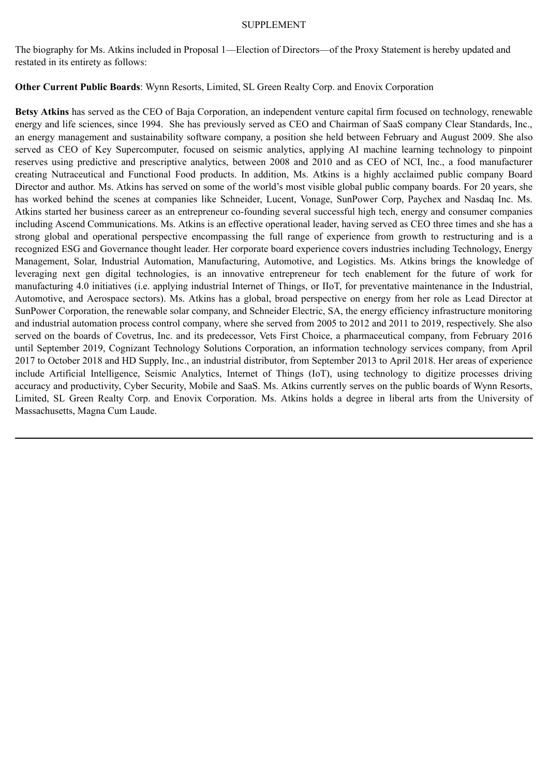#### SUPPLEMENT

The biography for Ms. Atkins included in Proposal 1—Election of Directors—of the Proxy Statement is hereby updated and restated in its entirety as follows:

**Other Current Public Boards**: Wynn Resorts, Limited, SL Green Realty Corp. and Enovix Corporation

**Betsy Atkins** has served as the CEO of Baja Corporation, an independent venture capital firm focused on technology, renewable energy and life sciences, since 1994. She has previously served as CEO and Chairman of SaaS company Clear Standards, Inc., an energy management and sustainability software company, a position she held between February and August 2009. She also served as CEO of Key Supercomputer, focused on seismic analytics, applying AI machine learning technology to pinpoint reserves using predictive and prescriptive analytics, between 2008 and 2010 and as CEO of NCI, Inc., a food manufacturer creating Nutraceutical and Functional Food products. In addition, Ms. Atkins is a highly acclaimed public company Board Director and author. Ms. Atkins has served on some of the world's most visible global public company boards. For 20 years, she has worked behind the scenes at companies like Schneider, Lucent, Vonage, SunPower Corp, Paychex and Nasdaq Inc. Ms. Atkins started her business career as an entrepreneur co-founding several successful high tech, energy and consumer companies including Ascend Communications. Ms. Atkins is an effective operational leader, having served as CEO three times and she has a strong global and operational perspective encompassing the full range of experience from growth to restructuring and is a recognized ESG and Governance thought leader. Her corporate board experience covers industries including Technology, Energy Management, Solar, Industrial Automation, Manufacturing, Automotive, and Logistics. Ms. Atkins brings the knowledge of leveraging next gen digital technologies, is an innovative entrepreneur for tech enablement for the future of work for manufacturing 4.0 initiatives (i.e. applying industrial Internet of Things, or IIoT, for preventative maintenance in the Industrial, Automotive, and Aerospace sectors). Ms. Atkins has a global, broad perspective on energy from her role as Lead Director at SunPower Corporation, the renewable solar company, and Schneider Electric, SA, the energy efficiency infrastructure monitoring and industrial automation process control company, where she served from 2005 to 2012 and 2011 to 2019, respectively. She also served on the boards of Covetrus, Inc. and its predecessor, Vets First Choice, a pharmaceutical company, from February 2016 until September 2019, Cognizant Technology Solutions Corporation, an information technology services company, from April 2017 to October 2018 and HD Supply, Inc., an industrial distributor, from September 2013 to April 2018. Her areas of experience include Artificial Intelligence, Seismic Analytics, Internet of Things (IoT), using technology to digitize processes driving accuracy and productivity, Cyber Security, Mobile and SaaS. Ms. Atkins currently serves on the public boards of Wynn Resorts, Limited, SL Green Realty Corp. and Enovix Corporation. Ms. Atkins holds a degree in liberal arts from the University of Massachusetts, Magna Cum Laude.